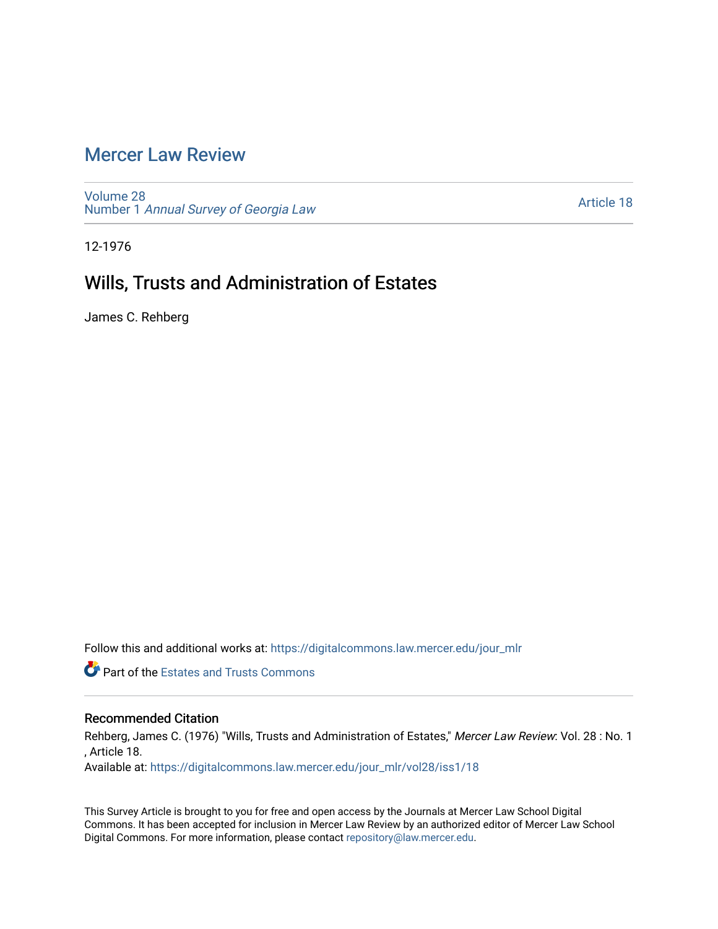## [Mercer Law Review](https://digitalcommons.law.mercer.edu/jour_mlr)

[Volume 28](https://digitalcommons.law.mercer.edu/jour_mlr/vol28) Number 1 [Annual Survey of Georgia Law](https://digitalcommons.law.mercer.edu/jour_mlr/vol28/iss1) 

[Article 18](https://digitalcommons.law.mercer.edu/jour_mlr/vol28/iss1/18) 

12-1976

## Wills, Trusts and Administration of Estates

James C. Rehberg

Follow this and additional works at: [https://digitalcommons.law.mercer.edu/jour\\_mlr](https://digitalcommons.law.mercer.edu/jour_mlr?utm_source=digitalcommons.law.mercer.edu%2Fjour_mlr%2Fvol28%2Fiss1%2F18&utm_medium=PDF&utm_campaign=PDFCoverPages)

**Part of the Estates and Trusts Commons** 

## Recommended Citation

Rehberg, James C. (1976) "Wills, Trusts and Administration of Estates," Mercer Law Review: Vol. 28 : No. 1 , Article 18.

Available at: [https://digitalcommons.law.mercer.edu/jour\\_mlr/vol28/iss1/18](https://digitalcommons.law.mercer.edu/jour_mlr/vol28/iss1/18?utm_source=digitalcommons.law.mercer.edu%2Fjour_mlr%2Fvol28%2Fiss1%2F18&utm_medium=PDF&utm_campaign=PDFCoverPages) 

This Survey Article is brought to you for free and open access by the Journals at Mercer Law School Digital Commons. It has been accepted for inclusion in Mercer Law Review by an authorized editor of Mercer Law School Digital Commons. For more information, please contact [repository@law.mercer.edu](mailto:repository@law.mercer.edu).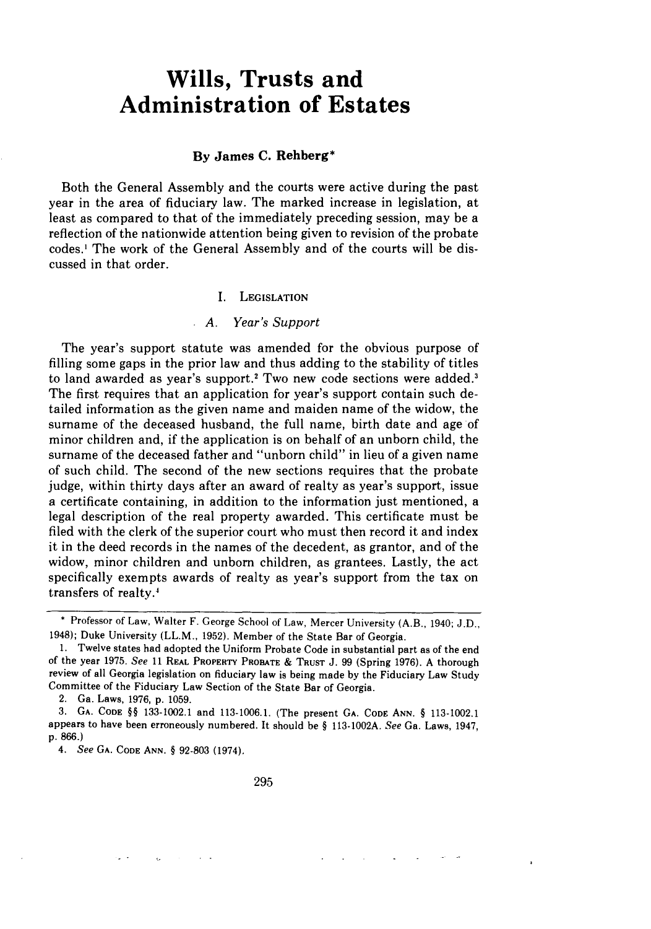# **Wills, Trusts and Administration of Estates**

#### **By James C. Rehberg\***

Both the General Assembly and the courts were active during the past year in the area of fiduciary law. The marked increase in legislation, at least as compared to that of the immediately preceding session, may be a reflection of the nationwide attention being given to revision of the probate codes.' The work of the General Assembly and of the courts will be discussed in that order.

#### I. **LEGISLATION**

#### *A. Year's Support*

The year's support statute was amended for the obvious purpose of filling some gaps in the prior law and thus adding to the stability of titles to land awarded as year's support.2 Two new code sections were added.' The first requires that an application for year's support contain such detailed information as the given name and maiden name of the widow, the surname of the deceased husband, the full name, birth date and age of minor children and, if the application is on behalf of an unborn child, the surname of the deceased father and "unborn child" in lieu of a given name of such child. The second of the new sections requires that the probate judge, within thirty days after an award of realty as year's support, issue a certificate containing, in addition to the information just mentioned, a legal description of the real property awarded. This certificate must be filed with the clerk of the superior court who must then record it and index it in the deed records in the names of the decedent, as grantor, and of the widow, minor children and unborn children, as grantees. Lastly, the act specifically exempts awards of realty as year's support from the tax on transfers of realty.'

2. Ga. Laws, 1976, **p. 1059.**

**<sup>\*</sup>** Professor of Law, Walter F. George School of Law, Mercer University (A.B., 1940; J.D., 1948); Duke University (LL.M., 1952). Member of the State Bar of Georgia.

<sup>1.</sup> Twelve states had adopted the Uniform Probate Code in substantial part as of the end of the year 1975. *See* **11** REAL PROPERTY PROBATE **& TRUST J.** 99 (Spring **1976).** A thorough **review** of all Georgia legislation on fiduciary law is being made by the Fiduciary Law Study Committee of the Fiduciary Law Section of the State Bar of Georgia.

<sup>3.</sup> **GA. CODE §§** 133-1002.1 and 113-1006.1. (The present GA. CODE **ANN. §** 113-1002.1 appears to have been erroneously numbered. It should be **§** 113-1002A. See Ga. Laws, 1947, p. 866.)

*<sup>4.</sup> See* GA. **CODE ANN. §** 92-803 (1974).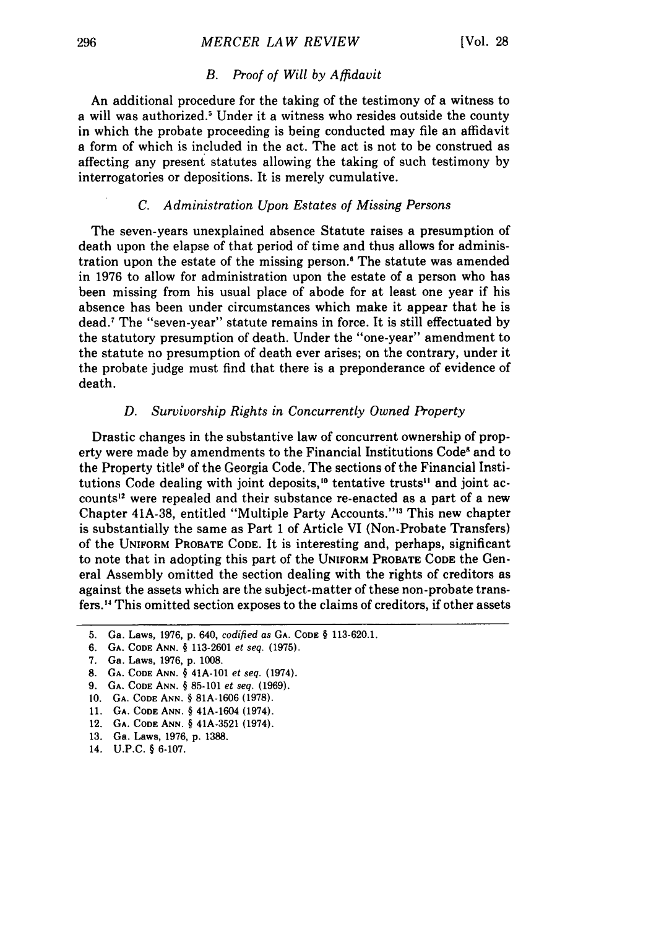#### *B. Proof of Will by Affidavit*

An additional procedure for the taking of the testimony of a witness to a will was authorized.' Under it a witness who resides outside the county in which the probate proceeding is being conducted may file an affidavit a form of which is included in the act. The act is not to be construed as affecting any present statutes allowing the taking of such testimony by interrogatories or depositions. It is merely cumulative.

## *C. Administration Upon Estates of Missing Persons*

The seven-years unexplained absence Statute raises a presumption of death upon the elapse of that period of time and thus allows for administration upon the estate of the missing person.' The statute was amended in 1976 to allow for administration upon the estate of a person who has been missing from his usual place of abode for at least one year if his absence has been under circumstances which make it appear that he is dead.7 The "seven-year" statute remains in force. It is still effectuated by the statutory presumption of death. Under the "one-year" amendment to the statute no presumption of death ever arises; on the contrary, under it the probate judge must find that there is a preponderance of evidence of death.

#### *D. Survivorship Rights in Concurrently Owned Property*

Drastic changes in the substantive law of concurrent ownership of property were made by amendments to the Financial Institutions Code<sup>8</sup> and to the Property title' of the Georgia Code. The sections of the Financial Institutions Code dealing with joint deposits,<sup>10</sup> tentative trusts<sup>11</sup> and joint accounts<sup>12</sup> were repealed and their substance re-enacted as a part of a new Chapter 41A-38, entitled "Multiple Party Accounts."'" This new chapter is substantially the same as Part 1 of Article VI (Non-Probate Transfers) of the **UNIFORM** PROBATE **CODE.** It is interesting and, perhaps, significant to note that in adopting this part of the **UNIFORM** PROBATE **CODE** the General Assembly omitted the section dealing with the rights of creditors as against the assets which are the subject-matter of these non-probate transfers. 4 This omitted section exposes to the claims of creditors, if other assets

<sup>5.</sup> Ga. Laws, **1976,** p. 640, *codified as* GA. CODE § 113-620.1.

**<sup>6.</sup> GA. CODE ANN. § 113-2601** et seq. **(1975).**

**<sup>7.</sup>** Ga. Laws, **1976, p. 1008.**

**<sup>8.</sup> GA. CODE ANN.** § 41A-101 et seq. (1974).

**<sup>9.</sup> GA. CODE ANN.** § **85-101** et seq. **(1969).**

**<sup>10.</sup> GA. CODE ANN.** § **81A-1606 (1978).**

**<sup>11.</sup> GA. CODE ANN.** § 41A-1604 (1974).

<sup>12.</sup> **GA. CODE ANN.** § 41A-3521 (1974).

**<sup>13.</sup>** Ga. Laws, **1976, p. 1388.**

**<sup>14.</sup> U.P.C.** § **6-107.**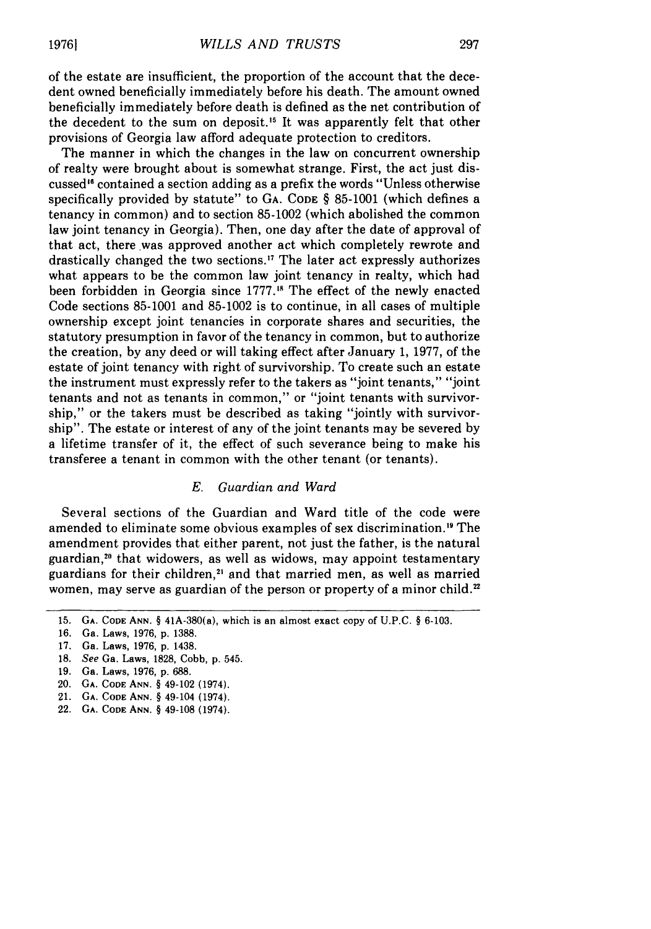of the estate are insufficient, the proportion of the account that the decedent owned beneficially immediately before his death. The amount owned beneficially immediately before death is defined as the net contribution of the decedent to the sum on deposit.<sup>15</sup> It was apparently felt that other provisions of Georgia law afford adequate protection to creditors.

The manner in which the changes in the law on concurrent ownership of realty were brought about is somewhat strange. First, the act just discussed" contained a section adding as a prefix the words "Unless otherwise specifically provided by statute" to **GA. CODE** § 85-1001 (which defines a tenancy in common) and to section 85-1002 (which abolished the common law joint tenancy in Georgia). Then, one day after the date of approval of that act, there was approved another act which completely rewrote and drastically changed the two sections.<sup>17</sup> The later act expressly authorizes what appears to be the common law joint tenancy in realty, which had been forbidden in Georgia since 1777.<sup>18</sup> The effect of the newly enacted Code sections 85-1001 and 85-1002 is to continue, in all cases of multiple ownership except joint tenancies in corporate shares and securities, the statutory presumption in favor of the tenancy in common, but to authorize the creation, by any deed or will taking effect after January 1, 1977, of the estate of joint tenancy with right of survivorship. To create such an estate the instrument must expressly refer to the takers as "joint tenants," "joint tenants and not as tenants in common," or "joint tenants with survivorship," or the takers must be described as taking "jointly with survivorship". The estate or interest of any of the joint tenants may be severed by a lifetime transfer of it, the effect of such severance being to make his transferee a tenant in common with the other tenant (or tenants).

## *E. Guardian and Ward*

Several sections of the Guardian and Ward title of the code were amended to eliminate some obvious examples of sex discrimination.<sup>19</sup> The amendment provides that either parent, not just the father, is the natural guardian,<sup>20</sup> that widowers, as well as widows, may appoint testamentary guardians for their children,<sup>21</sup> and that married men, as well as married women, may serve as guardian of the person or property of a minor child.<sup>22</sup>

<sup>15.</sup> **GA.** CODE ANN. § 41A-380(a), which is an almost exact copy of U.P.C. § 6-103.

<sup>16.</sup> Ga. Laws, 1976, p. 1388.

<sup>17.</sup> Ga. Laws, 1976, p. 1438.

<sup>18.</sup> See Ga. Laws, 1828, Cobb, p. 545.

<sup>19.</sup> Ga. Laws, 1976, p. 688.

<sup>20.</sup> **GA. CODE** ANN. § 49-102 (1974).

<sup>21.</sup> **GA.** CODE ANN. § 49-104 (1974).

<sup>22.</sup> **GA.** CODE ANN. § 49-108 (1974).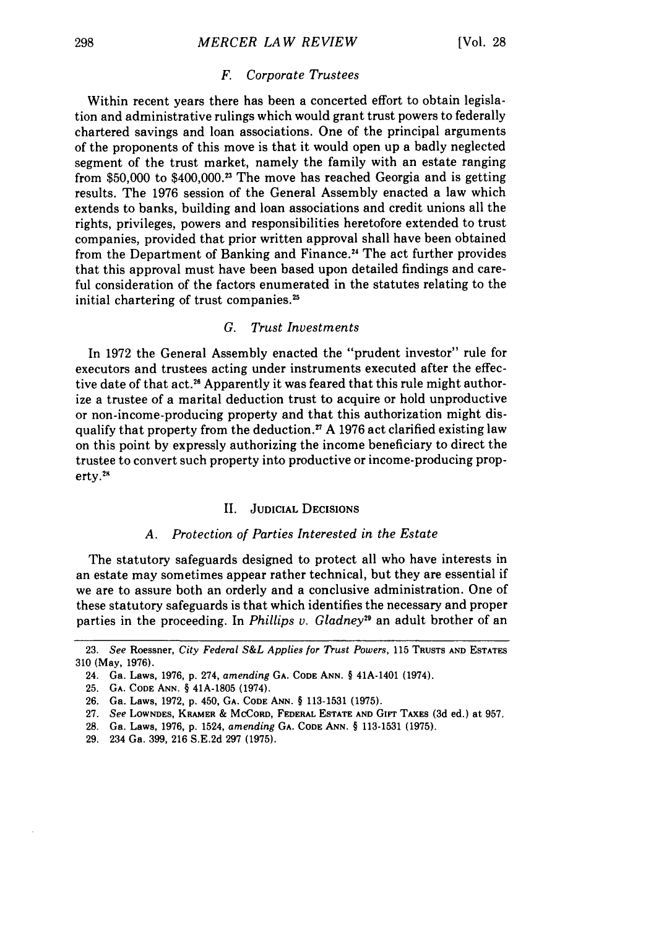#### *MERCER LAW REVIEW*

#### *F. Corporate Trustees*

Within recent years there has been a concerted effort to obtain legislation and administrative rulings which would grant trust powers to federally chartered savings and loan associations. One of the principal arguments of the proponents of this move is that it would open up a badly neglected segment of the trust market, namely the family with an estate ranging from \$50,000 to  $$400,000.^3$  The move has reached Georgia and is getting results. The 1976 session of the General Assembly enacted a law which extends to banks, building and loan associations and credit unions all the rights, privileges, powers and responsibilities heretofore extended to trust companies, provided that prior written approval shall have been obtained from the Department of Banking and Finance.<sup>24</sup> The act further provides that this approval must have been based upon detailed findings and careful consideration of the factors enumerated in the statutes relating to the initial chartering of trust companies.<sup>25</sup>

## *G. Trust Investments*

In 1972 the General Assembly enacted the "prudent investor" rule for executors and trustees acting under instruments executed after the effective date of that act.<sup>26</sup> Apparently it was feared that this rule might authorize a trustee of a marital deduction trust to acquire or hold unproductive or non-income-producing property and that this authorization might disqualify that property from the deduction.<sup> $n$ </sup> A 1976 act clarified existing law on this point by expressly authorizing the income beneficiary to direct the trustee to convert such property into productive or income-producing property. $28$ 

#### **II. JUDICIAL DECISIONS**

## *A. Protection of Parties Interested in the Estate*

The statutory safeguards designed to protect all who have interests in an estate may sometimes appear rather technical, but they are essential if we are to assure both an orderly and a conclusive administration. One of these statutory safeguards is that which identifies the necessary and proper parties in the proceeding. In *Phillips v. Gladney*<sup>29</sup> an adult brother of an

**<sup>23.</sup>** *See* Roessner, *City Federal S&L Applies for Thust Powers,* 115 **TRUSTS AND ESTATES** 310 (May, 1976).

<sup>24.</sup> Ga. Laws, 1976, p. 274, *amending* GA. CODE **ANN.** § 41A-1401 (1974).

<sup>25.</sup> GA. **CODE ANN.** § 41A-1805 (1974).

**<sup>26.</sup>** Ga. Laws, **1972,** p. 450, GA. CODE ANN. § 113-1531 (1975).

<sup>27.</sup> *See* **LOWNDES, KRAMER** & MCCORD, **FEDERAL ESTATE AND Girt TAXES (3d** ed.) **at** 957.

**<sup>28.</sup>** Ga. Laws, **1976, p.** 1524, *amending* **GA. CODE ANN.** § **113-1531 (1975).**

**<sup>29.</sup>** 234 Ga. **399, 216 S.E.2d 297 (1975).**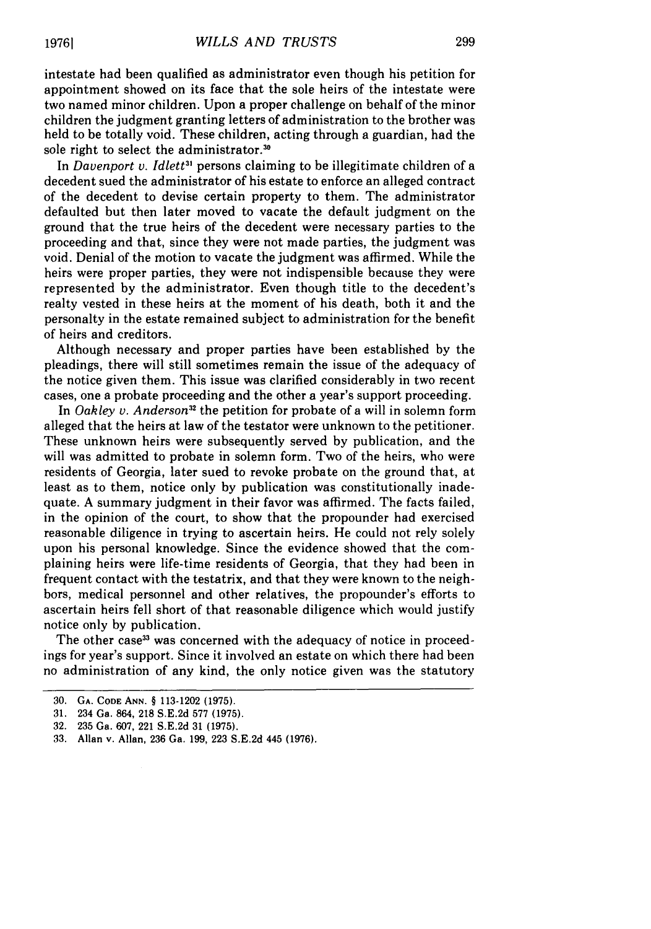intestate had been qualified as administrator even though his petition for appointment showed on its face that the sole heirs of the intestate were two named minor children. Upon a proper challenge on behalf of the minor children the judgment granting letters of administration to the brother was held to be totally void. These children, acting through a guardian, had the sole right to select the administrator.<sup>30</sup>

In *Davenport v. Idlett<sup>31</sup>* persons claiming to be illegitimate children of a decedent sued the administrator of his estate to enforce an alleged contract of the decedent to devise certain property to them. The administrator defaulted but then later moved to vacate the default judgment on the ground that the true heirs of the decedent were necessary parties to the proceeding and that, since they were not made parties, the judgment was void. Denial of the motion to vacate the judgment was affirmed. While the heirs were proper parties, they were not indispensible because they were represented by the administrator. Even though title to the decedent's realty vested in these heirs at the moment of his death, both it and the personalty in the estate remained subject to administration for the benefit of heirs and creditors.

Although necessary and proper parties have been established by the pleadings, there will still sometimes remain the issue of the adequacy of the notice given them. This issue was clarified considerably in two recent cases, one a probate proceeding and the other a year's support proceeding.

In *Oakley v. Anderson*<sup>32</sup> the petition for probate of a will in solemn form alleged that the heirs at law of the testator were unknown to the petitioner. These unknown heirs were subsequently served by publication, and the will was admitted to probate in solemn form. Two of the heirs, who were residents of Georgia, later sued to revoke probate on the ground that, at least as to them, notice only by publication was constitutionally inadequate. A summary judgment in their favor was affirmed. The facts failed, in the opinion of the court, to show that the propounder had exercised reasonable diligence in trying to ascertain heirs. He could not rely solely upon his personal knowledge. Since the evidence showed that the complaining heirs were life-time residents of Georgia, that they had been in frequent contact with the testatrix, and that they were known to the neighbors, medical personnel and other relatives, the propounder's efforts to ascertain heirs fell short of that reasonable diligence which would justify notice only by publication.

The other case<sup>33</sup> was concerned with the adequacy of notice in proceedings for year's support. Since it involved an estate on which there had been no administration of any kind, the only notice given was the statutory

**<sup>30.</sup> GA. CODE ANN.** § 113-1202 **(1975).**

**<sup>31. 234</sup> Ga. 864, 218 S.E.2d 577 (1975).**

**<sup>32. 235</sup> Ga. 607, 221 S.E.2d 31 (1975).**

**<sup>33.</sup> Allan v. Allan, 236 Ga. 199, 223 S.E.2d 445 (1976).**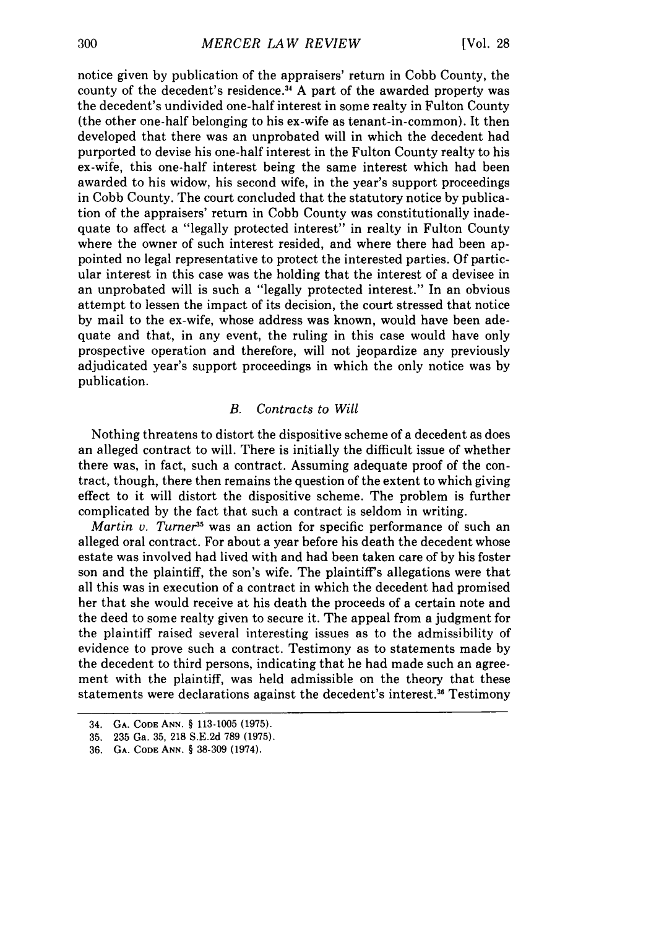notice given by publication of the appraisers' return in Cobb County, the county of the decedent's residence.<sup>34</sup> A part of the awarded property was the decedent's undivided one-half interest in some realty in Fulton County (the other one-half belonging to his ex-wife as tenant-in-common). It then developed that there was an unprobated will in which the decedent had purported to devise his one-half interest in the Fulton County realty to his ex-wife, this one-half interest being the same interest which had been awarded to his widow, his second wife, in the year's support proceedings in Cobb County. The court concluded that the statutory notice by publication of the appraisers' return in Cobb County was constitutionally inadequate to affect a "legally protected interest" in realty in Fulton County where the owner of such interest resided, and where there had been appointed no legal representative to protect the interested parties. Of particular interest in this case was the holding that the interest of a devisee in an unprobated will is such a "legally protected interest." In an obvious attempt to lessen the impact of its decision, the court stressed that notice by mail to the ex-wife, whose address was known, would have been adequate and that, in any event, the ruling in this case would have only prospective operation and therefore, will not jeopardize any previously adjudicated year's support proceedings in which the only notice was by publication.

#### *B. Contracts to Will*

Nothing threatens to distort the dispositive scheme of a decedent as does an alleged contract to will. There is initially the difficult issue of whether there was, in fact, such a contract. Assuming adequate proof of the contract, though, there then remains the question of the extent to which giving effect to it will distort the dispositive scheme. The problem is further complicated by the fact that such a contract is seldom in writing.

*Martin v. Turner<sup>35</sup>* was an action for specific performance of such an alleged oral contract. For about a year before his death the decedent whose estate was involved had lived with and had been taken care of by his foster son and the plaintiff, the son's wife. The plaintiff's allegations were that all this was in execution of a contract in which the decedent had promised her that she would receive at his death the proceeds of a certain note and the deed to some realty given to secure it. The appeal from a judgment for the plaintiff raised several interesting issues as to the admissibility of evidence to prove such a contract. Testimony as to statements made by the decedent to third persons, indicating that he had made such an agreement with the plaintiff, was held admissible on the theory that these statements were declarations against the decedent's interest **. <sup>3</sup>**Testimony

<sup>34.</sup> **GA. CODE ANN.** § 113-1005 (1975).

**<sup>35. 235</sup>** Ga. **35, 218** S.E.2d 789 (1975).

**<sup>36.</sup> GA. CODE ANN.** § **38-309** (1974).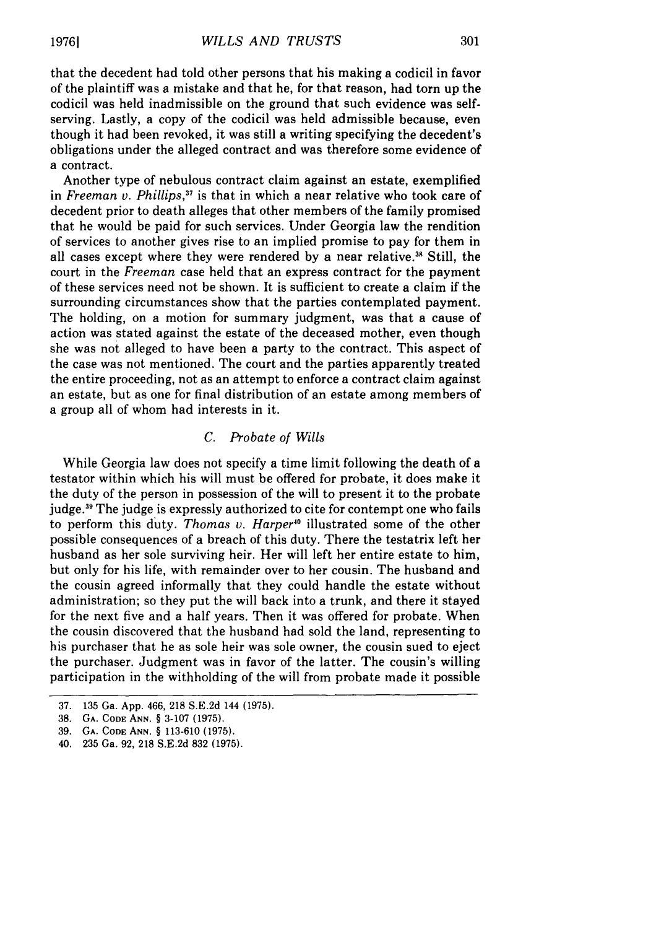Another type of nebulous contract claim against an estate, exemplified in *Freeman v. Phillips,37* is that in which a near relative who took care of decedent prior to death alleges that other members of the family promised that he would be paid for such services. Under Georgia law the rendition of services to another gives rise to an implied promise to pay for them in all cases except where they were rendered by a near relative.<sup>38</sup> Still, the court in the *Freeman* case held that an express contract for the payment of these services need not be shown. It is sufficient to create a claim if the surrounding circumstances show that the parties contemplated payment. The holding, on a motion for summary judgment, was that a cause of action was stated against the estate of the deceased mother, even though she was not alleged to have been a party to the contract. This aspect of the case was not mentioned. The court and the parties apparently treated the entire proceeding, not as an attempt to enforce a contract claim against an estate, but as one for final distribution of an estate among members of a group all of whom had interests in it.

## *C. Probate of Wills*

While Georgia law does not specify a time limit following the death of a testator within which his will must be offered for probate, it does make it the duty of the person in possession of the will to present it to the probate judge.39 The judge is expressly authorized to cite for contempt one who fails to perform this duty. *Thomas v. Harper*<sup>10</sup> illustrated some of the other possible consequences of a breach of this duty. There the testatrix left her husband as her sole surviving heir. Her will left her entire estate to him, but only for his life, with remainder over to her cousin. The husband and the cousin agreed informally that they could handle the estate without administration; so they put the will back into a trunk, and there it stayed for the next five and a half years. Then it was offered for probate. When the cousin discovered that the husband had sold the land, representing to his purchaser that he as sole heir was sole owner, the cousin sued to eject the purchaser. Judgment was in favor of the latter. The cousin's willing participation in the withholding of the will from probate made it possible

<sup>37. 135</sup> Ga. App. 466, 218 S.E.2d 144 (1975).

<sup>38.</sup> **GA. CODE ANN.** § 3-107 (1975).

<sup>39.</sup> **GA. CODE ANN.** § 113-610 (1975).

<sup>40. 235</sup> Ga. 92, 218 S.E.2d 832 (1975).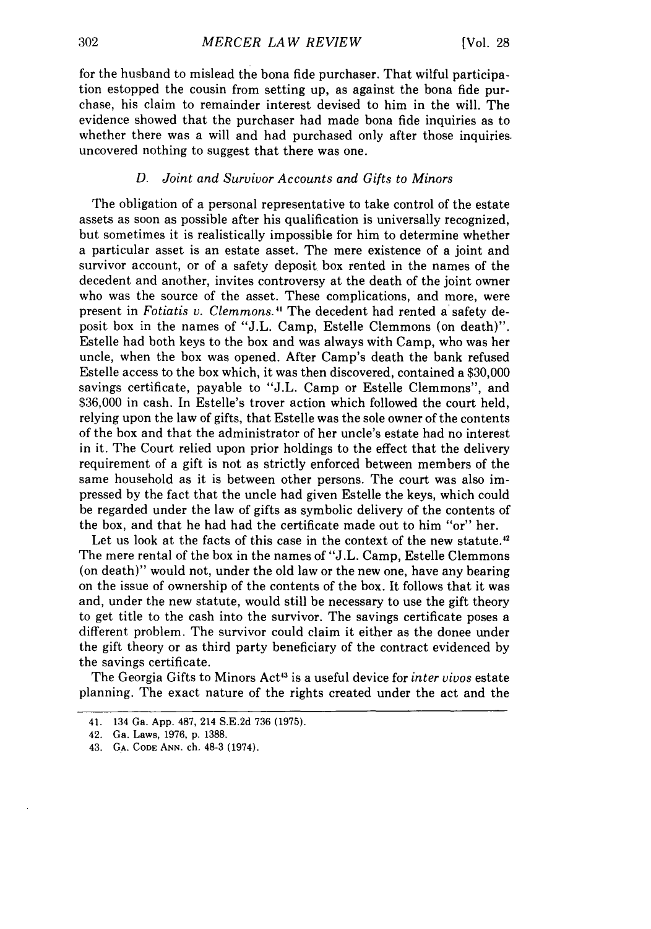for the husband to mislead the bona fide purchaser. That wilful participation estopped the cousin from setting up, as against the bona fide purchase, his claim to remainder interest devised to him in the will. The evidence showed that the purchaser had made bona fide inquiries as to whether there was a will and had purchased only after those inquiries. uncovered nothing to suggest that there was one.

#### *D. Joint and Survivor Accounts and Gifts to Minors*

The obligation of a personal representative to take control of the estate assets as soon as possible after his qualification is universally recognized, but sometimes it is realistically impossible for him to determine whether a particular asset is an estate asset. The mere existence of a joint and survivor account, or of a safety deposit box rented in the names of the decedent and another, invites controversy at the death of the joint owner who was the source of the asset. These complications, and more, were present in *Fotiatis v. Clemmons.11* The decedent had rented a' safety deposit box in the names of "J.L. Camp, Estelle Clemmons (on death)". Estelle had both keys to the box and was always with Camp, who was her uncle, when the box was opened. After Camp's death the bank refused Estelle access to the box which, it was then discovered, contained a \$30,000 savings certificate, payable to "J.L. Camp or Estelle Clemmons", and \$36,000 in cash. In Estelle's trover action which followed the court held, relying upon the law of gifts, that Estelle was the sole owner of the contents of the box and that the administrator of her uncle's estate had no interest in it. The Court relied upon prior holdings to the effect that the delivery requirement of a gift is not as strictly enforced between members of the same household as it is between other persons. The court was also impressed by the fact that the uncle had given Estelle the keys, which could be regarded under the law of gifts as symbolic delivery of the contents of the box, and that he had had the certificate made out to him "or" her.

Let us look at the facts of this case in the context of the new statute.<sup>42</sup> The mere rental of the box in the names of "J.L. Camp, Estelle Clemmons (on death)" would not, under the old law or the new one, have any bearing on the issue of ownership of the contents of the box. It follows that it was and, under the new statute, would still be necessary to use the gift theory to get title to the cash into the survivor. The savings certificate poses a different problem. The survivor could claim it either as the donee under the gift theory or as third party beneficiary of the contract evidenced by the savings certificate.

The Georgia Gifts to Minors Act<sup>43</sup> is a useful device for *inter vivos* estate planning. The exact nature of the rights created under the act and the

<sup>41. 134</sup> Ga. App. 487, 214 S.E.2d 736 (1975).

<sup>42.</sup> Ga. Laws, 1976, p. 1388.

<sup>43.</sup> **GA. CODE** ANN. ch. 48-3 (1974).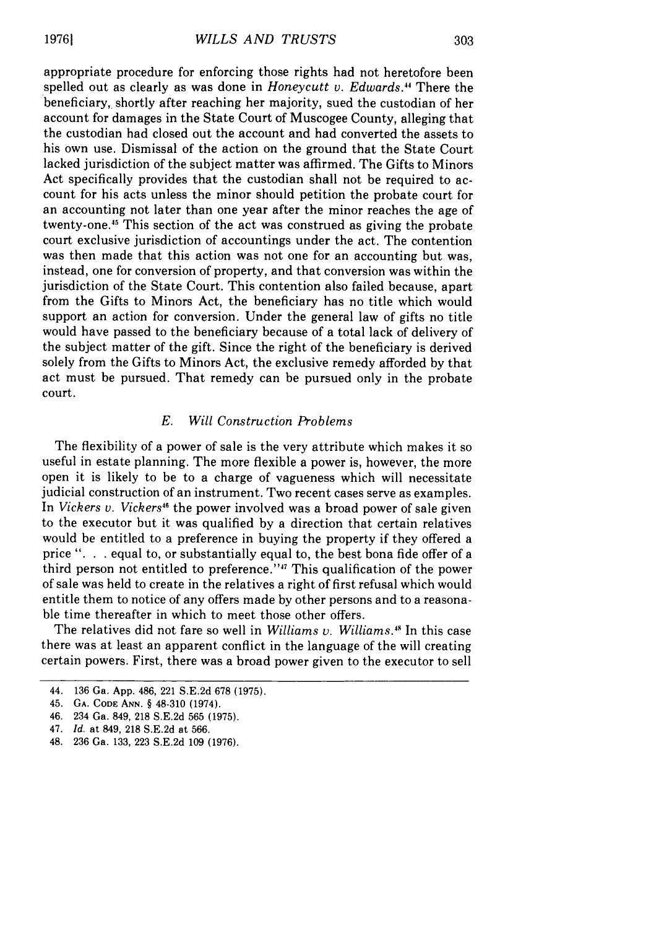appropriate procedure for enforcing those rights had not heretofore been spelled out as clearly as was done in *Honeycutt v. Edwards."* There the beneficiary, shortly after reaching her majority, sued the custodian of her account for damages in the State Court of Muscogee County, alleging that the custodian had closed out the account and had converted the assets to his own use. Dismissal of the action on the ground that the State Court lacked jurisdiction of the subject matter was affirmed. The Gifts to Minors Act specifically provides that the custodian shall not be required to account for his acts unless the minor should petition the probate court for an accounting not later than one year after the minor reaches the age of twenty-one."5 This section of the act was construed as giving the probate court exclusive jurisdiction of accountings under the act. The contention was then made that this action was not one for an accounting but was, instead, one for conversion of property, and that conversion was within the jurisdiction of the State Court. This contention also failed because, apart from the Gifts to Minors Act, the beneficiary has no title which would support an action for conversion. Under the general law of gifts no title would have passed to the beneficiary because of a total lack of delivery of the subject matter of the gift. Since the right of the beneficiary is derived solely from the Gifts to Minors Act, the exclusive remedy afforded by that act must be pursued. That remedy can be pursued only in the probate court.

#### *E. Will Construction Problems*

The flexibility of a power of sale is the very attribute which makes it so useful in estate planning. The more flexible a power is, however, the more open it is likely to be to a charge of vagueness which will necessitate judicial construction of an instrument. Two recent cases serve as examples. In *Vickers v. Vickers<sup>46</sup>* the power involved was a broad power of sale given to the executor but it was qualified by a direction that certain relatives would be entitled to a preference in buying the property if they offered a price ". **.** . equal to, or substantially equal to, the best bona fide offer of a third person not entitled to preference."47 This qualification of the power of sale was held to create in the relatives a right of first refusal which would entitle them to notice of any offers made by other persons and to a reasonable time thereafter in which to meet those other offers.

The relatives did not fare so well in *Williams v. Williams."* In this case there was at least an apparent conflict in the language of the will creating certain powers. First, there was a broad power given to the executor to sell

<sup>44. 136</sup> Ga. App. 486, 221 S.E.2d 678 (1975).

<sup>45.</sup> **GA. CODE ANN. §** 48-310 (1974).

<sup>46. 234</sup> Ga. 849, 218 S.E.2d 565 (1975).

<sup>47.</sup> *Id.* at 849, 218 S.E.2d at 566.

<sup>48.</sup> 236 Ga. 133, 223 S.E.2d 109 (1976).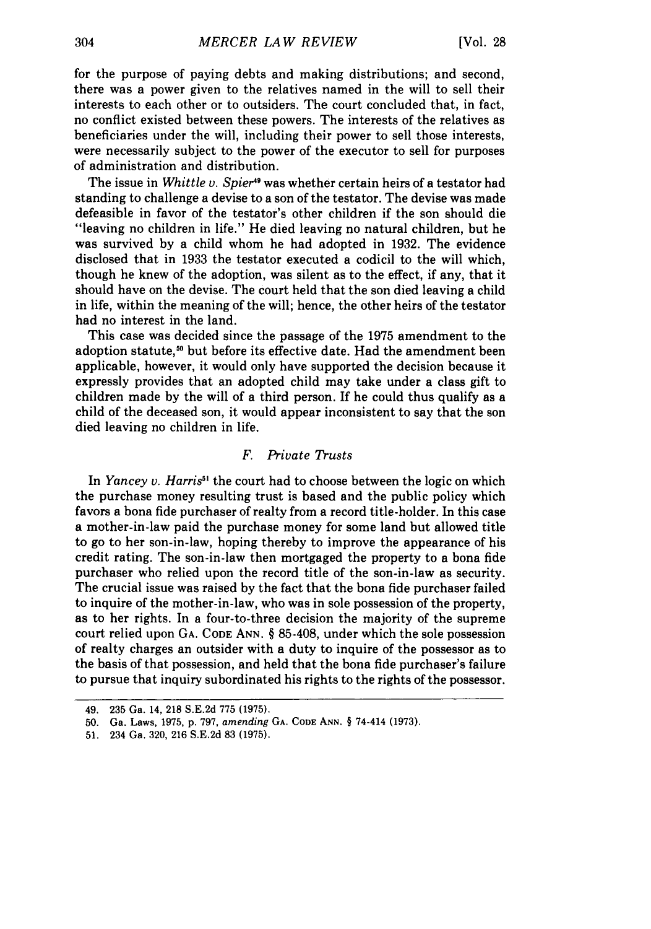for the purpose of paying debts and making distributions; and second, there was a power given to the relatives named in the will to sell their interests to each other or to outsiders. The court concluded that, in fact, no conflict existed between these powers. The interests of the relatives as beneficiaries under the will, including their power to sell those interests, were necessarily subject to the power of the executor to sell for purposes of administration and distribution.

The issue in *Whittle v. Spier<sup>49</sup>* was whether certain heirs of a testator had standing to challenge a devise to a son of the testator. The devise was made defeasible in favor of the testator's other children if the son should die "leaving no children in life." He died leaving no natural children, but he was survived by a child whom he had adopted in 1932. The evidence disclosed that in 1933 the testator executed a codicil to the will which, though he knew of the adoption, was silent as to the effect, if any, that it should have on the devise. The court held that the son died leaving a child in life, within the meaning of the will; hence, the other heirs of the testator had no interest in the land.

This case was decided since the passage of the 1975 amendment to the adoption statute,<sup>50</sup> but before its effective date. Had the amendment been applicable, however, it would only have supported the decision because it expressly provides that an adopted child may take under a class gift to children made by the will of a third person. If he could thus qualify as a child of the deceased son, it would appear inconsistent to say that the son died leaving no children in life.

## *F. Private Trusts*

In *Yancey v. Harris<sup>51</sup>* the court had to choose between the logic on which the purchase money resulting trust is based and the public policy which favors a bona fide purchaser of realty from a record title-holder. In this case a mother-in-law paid the purchase money for some land but allowed title to go to her son-in-law, hoping thereby to improve the appearance of his credit rating. The son-in-law then mortgaged the property to a bona fide purchaser who relied upon the record title of the son-in-law as security. The crucial issue was raised by the fact that the bona fide purchaser failed to inquire of the mother-in-law, who was in sole possession of the property, as to her rights. In a four-to-three decision the majority of the supreme court relied upon **GA. CODE** ANN. § 85-408, under which the sole possession of realty charges an outsider with a duty to inquire of the possessor as to the basis of that possession, and held that the bona fide purchaser's failure to pursue that inquiry subordinated his rights to the rights of the possessor.

<sup>49.</sup> **235** Ga. 14, **218 S.E.2d 775 (1975).**

<sup>50.</sup> Ga. Laws, 1975, p. 797, *amending* **GA.** CODE **ANN.** § 74-414 (1973).

<sup>51. 234</sup> Ga. 320, 216 S.E.2d 83 (1975).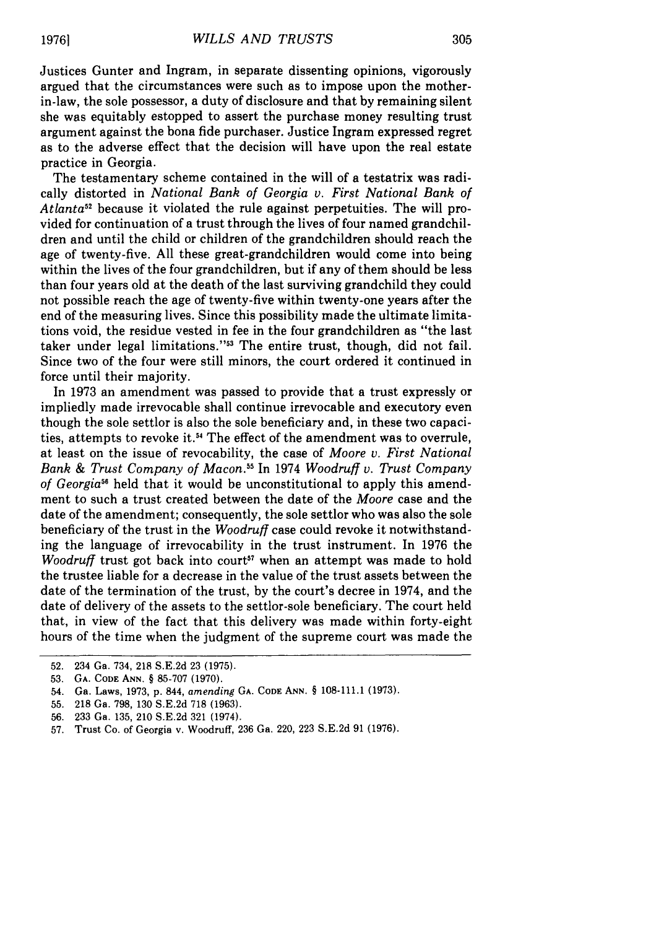Justices Gunter and Ingram, in separate dissenting opinions, vigorously argued that the circumstances were such as to impose upon the motherin-law, the sole possessor, a duty of disclosure and that by remaining silent she was equitably estopped to assert the purchase money resulting trust argument against the bona fide purchaser. Justice Ingram expressed regret as to the adverse effect that the decision will have upon the real estate practice in Georgia.

The testamentary scheme contained in the will of a testatrix was radically distorted in *National Bank of Georgia v. First National Bank of Atlanta52* because it violated the rule against perpetuities. The will provided for continuation of a trust through the lives of four named grandchildren and until the child or children of the grandchildren should reach the age of twenty-five. All these great-grandchildren would come into being within the lives of the four grandchildren, but if any of them should be less than four years old at the death of the last surviving grandchild they could not possible reach the age of twenty-five within twenty-one years after the end of the measuring lives. Since this possibility made the ultimate limitations void, the residue vested in fee in the four grandchildren as "the last taker under legal limitations."<sup>53</sup> The entire trust, though, did not fail. Since two of the four were still minors, the court ordered it continued in force until their majority.

In 1973 an amendment was passed to provide that a trust expressly or impliedly made irrevocable shall continue irrevocable and executory even though the sole settlor is also the sole beneficiary and, in these two capacities, attempts to revoke it.<sup>54</sup> The effect of the amendment was to overrule, at least on the issue of revocability, the case of *Moore v. First National Bank & Trust Company of Macon.5 <sup>5</sup>*In 1974 *Woodruff v. Trust Company of Georgia"* held that it would be unconstitutional to apply this amendment to such a trust created between the date of the *Moore* case and the date of the amendment; consequently, the sole settlor who was also the sole beneficiary of the trust in the *Woodruff* case could revoke it notwithstanding the language of irrevocability in the trust instrument. In 1976 the *Woodruff* trust got back into court<sup>57</sup> when an attempt was made to hold the trustee liable for a decrease in the value of the trust assets between the date of the termination of the trust, by the court's decree in 1974, and the date of delivery of the assets to the settlor-sole beneficiary. The court held that, in view of the fact that this delivery was made within forty-eight hours of the time when the judgment of the supreme court was made the

56. 233 Ga. 135, 210 S.E.2d 321 (1974).

<sup>52. 234</sup> Ga. 734, 218 S.E.2d 23 (1975).

<sup>53.</sup> **GA. CODE ANN.** § 85-707 (1970).

<sup>54.</sup> Ga. Laws, 1973, p. 844, *amending* **GA.** CODE **ANN.** § 108-111.1 (1973).

<sup>55. 218</sup> Ga. 798, 130 S.E.2d **718** (1963).

**<sup>57.</sup>** Trust Co. of Georgia v. Woodruff, 236 Ga. 220, **223** S.E.2d 91 (1976).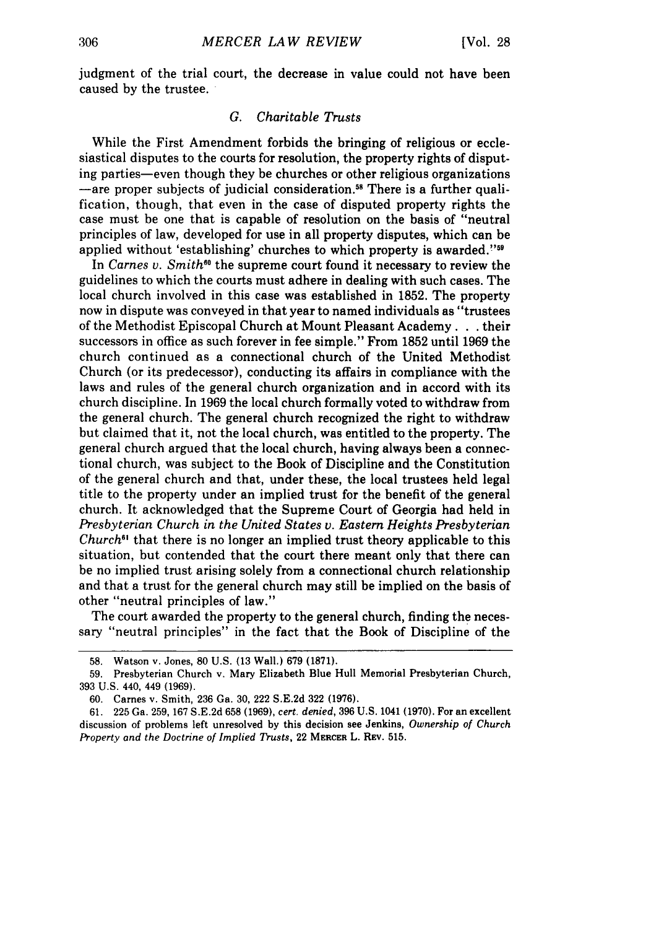judgment of the trial court, the decrease in value could not have been caused by the trustee.

### *G. Charitable Trusts*

While the First Amendment forbids the bringing of religious or ecclesiastical disputes to the courts for resolution, the property rights of disputing parties-even though they be churches or other religious organizations  $-$ are proper subjects of judicial consideration.<sup>58</sup> There is a further qualification, though, that even in the case of disputed property rights the case must be one that is capable of resolution on the basis of "neutral principles of law, developed for use in all property disputes, which can be applied without 'establishing' churches to which property is awarded."59

In *Carnes v. Smith*<sup>60</sup> the supreme court found it necessary to review the guidelines to which the courts must adhere in dealing with such cases. The local church involved in this case was established in 1852. The property now in dispute was conveyed in that year to named individuals as "trustees of the Methodist Episcopal Church at Mount Pleasant Academy. . their successors in office as such forever in fee simple." From 1852 until 1969 the church continued as a connectional church of the United Methodist Church (or its predecessor), conducting its affairs in compliance with the laws and rules of the general church organization and in accord with its church discipline. In 1969 the local church formally voted to withdraw from the general church. The general church recognized the right to withdraw but claimed that it, not the local church, was entitled to the property. The general church argued that the local church, having always been a connectional church, was subject to the Book of Discipline and the Constitution of the general church and that, under these, the local trustees held legal title to the property under an implied trust for the benefit of the general church. It acknowledged that the Supreme Court of Georgia had held in *Presbyterian Church in the United States v. Eastern Heights Presbyterian Church*<sup>61</sup> that there is no longer an implied trust theory applicable to this situation, but contended that the court there meant only that there can be no implied trust arising solely from a connectional church relationship and that a trust for the general church may still be implied on the basis of other "neutral principles of law."

The court awarded the property to the general church, finding the necessary "neutral principles" in the fact that the Book of Discipline of the

<sup>58.</sup> Watson v. Jones, 80 U.S. **(13** Wall.) 679 **(1871).**

<sup>59.</sup> Presbyterian Church v. Mary Elizabeth Blue Hull Memorial Presbyterian Church, 393 U.S. 440, 449 (1969).

<sup>60.</sup> Carnes v. Smith, 236 Ga. 30, 222 S.E.2d 322 (1976).

<sup>61. 225</sup> Ga. 259, 167 S.E.2d 658 (1969), *cert. denied,* 396 U.S. 1041 (1970). For an excellent discussion of problems left unresolved by this decision see Jenkins, *Ownership of Church Property and the Doctrine of Implied Trusts,* 22 **MERCER** L. REv. 515.